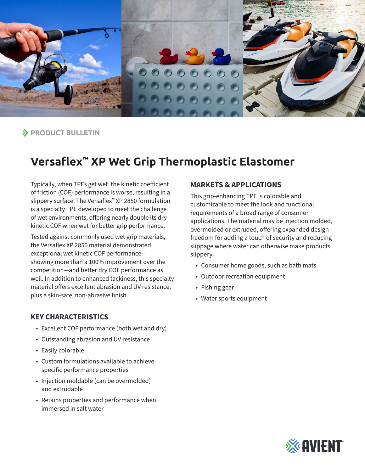

**PRODUCT BULLETIN**

# **Versaflex™ XP Wet Grip Thermoplastic Elastomer**

Typically, when TPEs get wet, the kinetic coefficient of friction (COF) performance is worse, resulting in a slippery surface. The Versaflex™ XP 2850 formulation is a specialty TPE developed to meet the challenge of wet environments, offering nearly double its dry kinetic COF when wet for better grip performance.

Tested against commonly used wet grip materials, the Versaflex XP 2850 material demonstrated exceptional wet kinetic COF performance showing more than a 100% improvement over the competition—and better dry COF performance as well. In addition to enhanced tackiness, this specialty material offers excellent abrasion and UV resistance, plus a skin-safe, non-abrasive finish.

## **KEY CHARACTERISTICS**

- Excellent COF performance (both wet and dry)
- Outstanding abrasion and UV resistance
- Easily colorable
- Custom formulations available to achieve specific performance properties
- Injection moldable (can be overmolded) and extrudable
- Retains properties and performance when immersed in salt water

#### **MARKETS & APPLICATIONS**

This grip-enhancing TPE is colorable and customizable to meet the look and functional requirements of a broad range of consumer applications. The material may be injection molded, overmolded or extruded, offering expanded design freedom for adding a touch of security and reducing slippage where water can otherwise make products slippery.

- Consumer home goods, such as bath mats
- Outdoor recreation equipment
- Fishing gear
- Water sports equipment